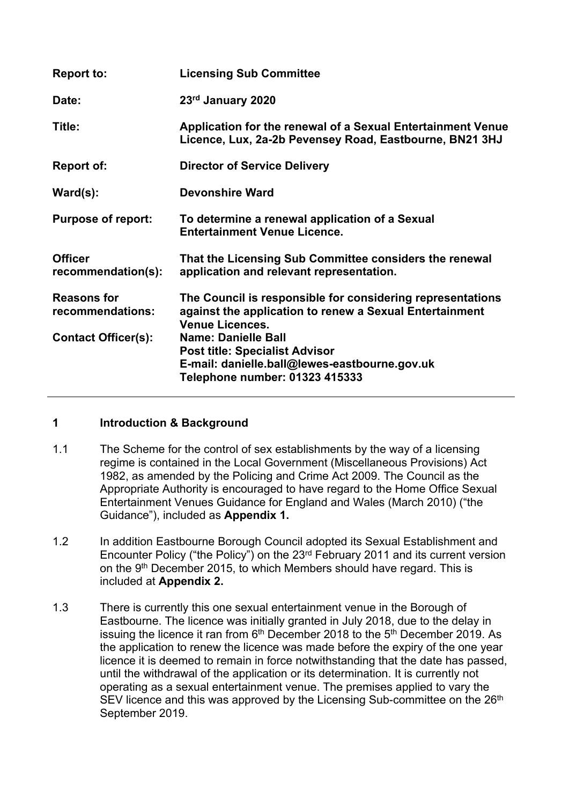| <b>Report to:</b>                      | <b>Licensing Sub Committee</b>                                                                                                                         |
|----------------------------------------|--------------------------------------------------------------------------------------------------------------------------------------------------------|
| Date:                                  | 23rd January 2020                                                                                                                                      |
| Title:                                 | Application for the renewal of a Sexual Entertainment Venue<br>Licence, Lux, 2a-2b Pevensey Road, Eastbourne, BN21 3HJ                                 |
| <b>Report of:</b>                      | <b>Director of Service Delivery</b>                                                                                                                    |
| $\textsf{Ward}(\textsf{s})$ :          | <b>Devonshire Ward</b>                                                                                                                                 |
| <b>Purpose of report:</b>              | To determine a renewal application of a Sexual<br><b>Entertainment Venue Licence.</b>                                                                  |
| <b>Officer</b><br>recommendation(s):   | That the Licensing Sub Committee considers the renewal<br>application and relevant representation.                                                     |
| <b>Reasons for</b><br>recommendations: | The Council is responsible for considering representations<br>against the application to renew a Sexual Entertainment<br><b>Venue Licences.</b>        |
| <b>Contact Officer(s):</b>             | <b>Name: Danielle Ball</b><br><b>Post title: Specialist Advisor</b><br>E-mail: danielle.ball@lewes-eastbourne.gov.uk<br>Telephone number: 01323 415333 |

# **1 Introduction & Background**

- 1.1 The Scheme for the control of sex establishments by the way of a licensing regime is contained in the Local Government (Miscellaneous Provisions) Act 1982, as amended by the Policing and Crime Act 2009. The Council as the Appropriate Authority is encouraged to have regard to the Home Office Sexual Entertainment Venues Guidance for England and Wales (March 2010) ("the Guidance"), included as **Appendix 1.**
- 1.2 In addition Eastbourne Borough Council adopted its Sexual Establishment and Encounter Policy ("the Policy") on the 23rd February 2011 and its current version on the 9<sup>th</sup> December 2015, to which Members should have regard. This is included at **Appendix 2.**
- 1.3 There is currently this one sexual entertainment venue in the Borough of Eastbourne. The licence was initially granted in July 2018, due to the delay in issuing the licence it ran from 6<sup>th</sup> December 2018 to the 5<sup>th</sup> December 2019. As the application to renew the licence was made before the expiry of the one year licence it is deemed to remain in force notwithstanding that the date has passed, until the withdrawal of the application or its determination. It is currently not operating as a sexual entertainment venue. The premises applied to vary the SEV licence and this was approved by the Licensing Sub-committee on the 26<sup>th</sup> September 2019.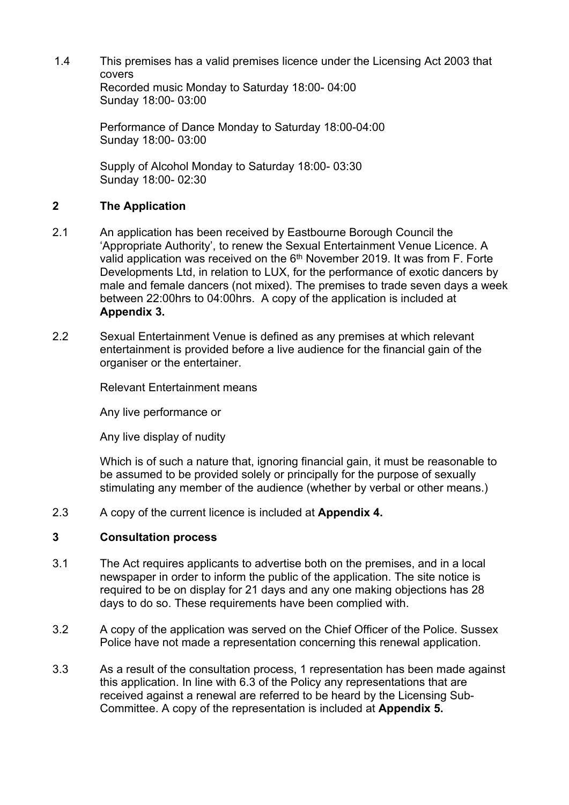1.4 This premises has a valid premises licence under the Licensing Act 2003 that covers Recorded music Monday to Saturday 18:00- 04:00 Sunday 18:00- 03:00

> Performance of Dance Monday to Saturday 18:00-04:00 Sunday 18:00- 03:00

Supply of Alcohol Monday to Saturday 18:00- 03:30 Sunday 18:00- 02:30

# **2 The Application**

- 2.1 An application has been received by Eastbourne Borough Council the 'Appropriate Authority', to renew the Sexual Entertainment Venue Licence. A valid application was received on the 6<sup>th</sup> November 2019. It was from F. Forte Developments Ltd, in relation to LUX, for the performance of exotic dancers by male and female dancers (not mixed). The premises to trade seven days a week between 22:00hrs to 04:00hrs. A copy of the application is included at **Appendix 3.**
- 2.2 Sexual Entertainment Venue is defined as any premises at which relevant entertainment is provided before a live audience for the financial gain of the organiser or the entertainer.

Relevant Entertainment means

Any live performance or

Any live display of nudity

Which is of such a nature that, ignoring financial gain, it must be reasonable to be assumed to be provided solely or principally for the purpose of sexually stimulating any member of the audience (whether by verbal or other means.)

2.3 A copy of the current licence is included at **Appendix 4.**

#### **3 Consultation process**

- 3.1 The Act requires applicants to advertise both on the premises, and in a local newspaper in order to inform the public of the application. The site notice is required to be on display for 21 days and any one making objections has 28 days to do so. These requirements have been complied with.
- 3.2 A copy of the application was served on the Chief Officer of the Police. Sussex Police have not made a representation concerning this renewal application.
- 3.3 As a result of the consultation process, 1 representation has been made against this application. In line with 6.3 of the Policy any representations that are received against a renewal are referred to be heard by the Licensing Sub-Committee. A copy of the representation is included at **Appendix 5.**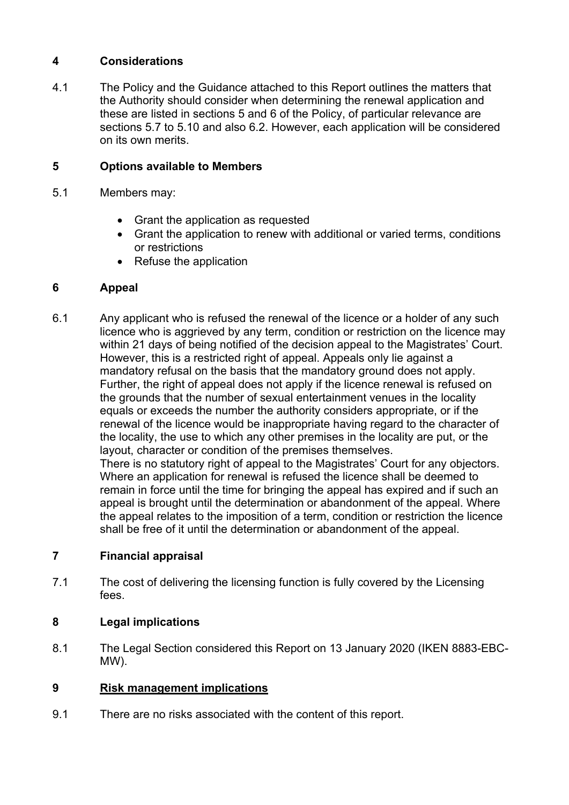# **4 Considerations**

4.1 The Policy and the Guidance attached to this Report outlines the matters that the Authority should consider when determining the renewal application and these are listed in sections 5 and 6 of the Policy, of particular relevance are sections 5.7 to 5.10 and also 6.2. However, each application will be considered on its own merits.

# **5 Options available to Members**

- 5.1 Members may:
	- Grant the application as requested
	- Grant the application to renew with additional or varied terms, conditions or restrictions
	- Refuse the application

### **6 Appeal**

6.1 Any applicant who is refused the renewal of the licence or a holder of any such licence who is aggrieved by any term, condition or restriction on the licence may within 21 days of being notified of the decision appeal to the Magistrates' Court. However, this is a restricted right of appeal. Appeals only lie against a mandatory refusal on the basis that the mandatory ground does not apply. Further, the right of appeal does not apply if the licence renewal is refused on the grounds that the number of sexual entertainment venues in the locality equals or exceeds the number the authority considers appropriate, or if the renewal of the licence would be inappropriate having regard to the character of the locality, the use to which any other premises in the locality are put, or the layout, character or condition of the premises themselves. There is no statutory right of appeal to the Magistrates' Court for any objectors. Where an application for renewal is refused the licence shall be deemed to remain in force until the time for bringing the appeal has expired and if such an appeal is brought until the determination or abandonment of the appeal. Where the appeal relates to the imposition of a term, condition or restriction the licence shall be free of it until the determination or abandonment of the appeal.

# **7 Financial appraisal**

7.1 The cost of delivering the licensing function is fully covered by the Licensing fees.

# **8 Legal implications**

8.1 The Legal Section considered this Report on 13 January 2020 (IKEN 8883-EBC-MW).

#### **9 Risk management implications**

9.1 There are no risks associated with the content of this report.